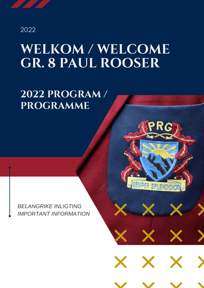#### 2022

# **WELKOM / WELCOME GR. 8 PAUL ROOSER**

## **2022 PROGRAM / PROGRAMME**

*BELANGRIKE INLIGTING IMPORTANT INFORMATION*



SEMPER SPLENDIDIOR

X

X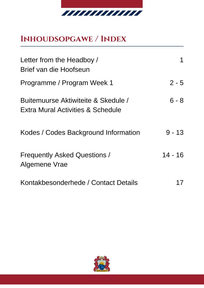

## **Inhoudsopgawe / Index**

| Letter from the Headboy /<br>Brief van die Hoofseun                                 |           |
|-------------------------------------------------------------------------------------|-----------|
| Programme / Program Week 1                                                          | $2 - 5$   |
| Buitemuurse Aktiwiteite & Skedule /<br><b>Extra Mural Activities &amp; Schedule</b> | $6 - 8$   |
| Kodes / Codes Background Information                                                | $9 - 13$  |
| <b>Frequently Asked Questions /</b><br>Algemene Vrae                                | $14 - 16$ |
| Kontakbesonderhede / Contact Details                                                |           |

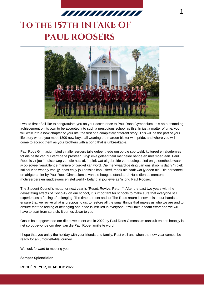

## **To the 157th INTAKE OF PAUL ROOSERS**



I would first of all like to congratulate you on your acceptance to Paul Roos Gymnasium. It is an outstanding achievement on its own to be accepted into such a prestigious school as this. In just a matter of time, you will walk into a new chapter of your life, the first of a completely different story. This will be the part of your life story where you meet 1300 new boys, all wearing the maroon blazer with pride, and where you will come to accept them as your brothers with a bond that is unbreakable.

Paul Roos Gimnasium bied vir alle leerders talle geleenthede om op die sportveld, kultureel en akademies tot die beste van hul vermoë te presteer. Gryp elke geleentheid met beide hande en met moed aan. Paul Roos is vir jou 'n tuiste weg van die huis af, 'n plek wat uitgebreide verhoudings bied en geleenthede waar jy op soveel verskillende maniere ontwikkel kan word. Die merkwaardige ding van ons skool is dat jy 'n plek sal sal vind waar jy voel jy inpas en jy jou passies kan uitleef, maak nie saak wat jy doen nie. Die personeel en afrigters hier by Paul Roos Gimnasium is van die hoogste standaard. Hulle dien as mentors, motiveerders en raadgewers en stel werklik belang in jou lewe as 'n jong Paul Rooser.

The Student Council's motto for next year is "Reset, Revive, Return". After the past two years with the devastating effects of Covid-19 on our school, it is important for schools to make sure that everyone still experiences a feeling of belonging. The time to reset and let The Roos return is now. It is in our hands to ensure that we revive what is precious to us, to restore all the small things that makes us who we are and to ensure that the feeling of belonging and pride is instilled in everyone. It will take a team effort and we will have to start from scratch. It comes down to you…

Ons is baie opgewonde oor die nuwe talent wat in 2022 by Paul Roos Gimnasium aansluit en ons hoop jy is net so opgewonde om deel van die Paul Roos-familie te word.

I hope that you enjoy the holiday with your friends and family. Rest well and when the new year comes, be ready for an unforgettable journey.

We look forward to meeting you!

#### **Semper Splendidior**

**ROCHÉ MEYER, HEADBOY 2022**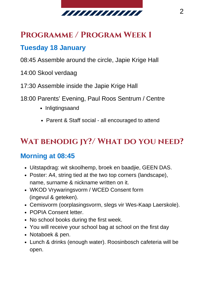

#### **Programme / Program Week 1**

#### **Tuesday 18 January**

- 08:45 Assemble around the circle, Japie Krige Hall
- 14:00 Skool verdaag
- 17:30 Assemble inside the Japie Krige Hall
- 18:00 Parents' Evening, Paul Roos Sentrum / Centre
	- Inligtingsaand
	- Parent & Staff social all encouraged to attend

## **Wat benodig jy?/ What do you need?**

#### **Morning at 08:45**

- Uitstapdrag: wit skoolhemp, broek en baadjie, GEEN DAS.
- Poster: A4, string tied at the two top corners (landscape), name, surname & nickname written on it.
- WKOD Vrywaringsvorm / WCED Consent form (ingevul & geteken).
- Cemisvorm (oorplasingsvorm, slegs vir Wes-Kaap Laerskole).
- POPIA Consent letter.
- No school books during the first week.
- You will receive your school bag at school on the first day
- Notaboek & pen.
- Lunch & drinks (enough water). Roosinbosch cafeteria will be open.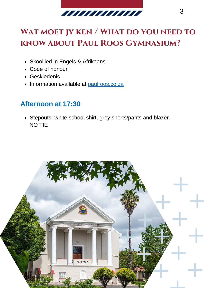

## **Wat moet jy ken / What do you need to know about Paul Roos Gymnasium?**

- Skoollied in Engels & Afrikaans
- Code of honour
- Geskiedenis
- Information available at [paulroos.co.za](https://paulroos.co.za/)

#### **Afternoon at 17:30**

Stepouts: white school shirt, grey shorts/pants and blazer. NO TIE

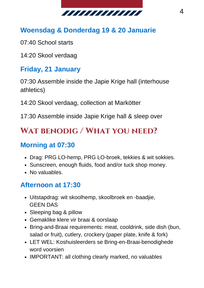

#### **Woensdag & Donderdag 19 & 20 Januarie**

- 07:40 School starts
- 14:20 Skool verdaag

#### **Friday, 21 January**

07:30 Assemble inside the Japie Krige hall (interhouse athletics)

14:20 Skool verdaag, collection at Markötter

17:30 Assemble inside Japie Krige hall & sleep over

#### **Wat benodig / What you need?**

#### **Morning at 07:30**

- Drag: PRG LO-hemp, PRG LO-broek, tekkies & wit sokkies.
- Sunscreen, enough fluids, food and/or tuck shop money.
- No valuables.

#### **Afternoon at 17:30**

- Uitstapdrag: wit skoolhemp, skoolbroek en -baadjie, GEEN DAS
- Sleeping bag & pillow
- Gemaklike klere vir braai & oorslaap
- Bring-and-Braai requirements: meat, cooldrink, side dish (bun, salad or fruit), cutlery, crockery (paper plate, knife & fork)
- LET WEL: Koshuisleerders se Bring-en-Braai-benodighede word voorsien
- IMPORTANT: all clothing clearly marked, no valuables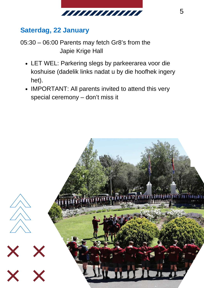

#### **Saterdag, 22 January**

05:30 – 06:00 Parents may fetch Gr8's from the Japie Krige Hall

- LET WEL: Parkering slegs by parkeerarea voor die koshuise (dadelik links nadat u by die hoofhek ingery het).
- IMPORTANT: All parents invited to attend this very special ceremony – don't miss it

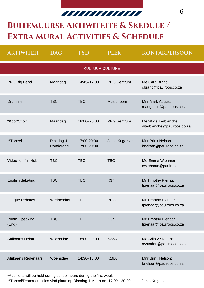## *MUUMUMUU*

6

## **Buitemuurse Aktiwiteite & Skedule / Extra Mural Activities & Schedule**

| <b>AKTIWITEIT</b>               | <b>DAG</b>             | TYD                        | <b>PLEK</b>        | <b>KONTAKPERSOON</b>                              |
|---------------------------------|------------------------|----------------------------|--------------------|---------------------------------------------------|
|                                 |                        | KULTUUR/CULTURE            |                    |                                                   |
| PRG Big Band                    | Maandag                | 14:45-17:00                | <b>PRG Sentrum</b> | Me Cara Brand<br>cbrand@paulroos.co.za            |
| <b>Drumline</b>                 | <b>TBC</b>             | <b>TBC</b>                 | Music room         | Mnr Mark Augustin<br>maugustin@paulroos.co.za     |
| *Koor/Choir                     | Maandag                | 18:00-20:00                | <b>PRG Sentrum</b> | Me Wikje Terblanche<br>wterblanche@paulroos.co.za |
| **Toneel                        | Dinsdag &<br>Donderdag | 17:00-20:00<br>17:00-20:00 | Japie Krige saal   | Mnr Brink Nelson<br>bnelson@paulroos.co.za        |
| Video- en filmklub              | <b>TBC</b>             | <b>TBC</b>                 | <b>TBC</b>         | Me Emma Wiehman<br>ewiehman@paulroos.co.za        |
| English debating                | <b>TBC</b>             | <b>TBC</b>                 | K37                | Mr Timothy Pienaar<br>tpienaar@paulroos.co.za     |
| League Debates                  | Wednesday              | <b>TBC</b>                 | <b>PRG</b>         | Mr Timothy Pienaar<br>tpienaar@paulroos.co.za     |
| <b>Public Speaking</b><br>(Eng) | <b>TBC</b>             | <b>TBC</b>                 | K37                | Mr Timothy Pienaar<br>tpienaar@paulroos.co.za     |
| Afrikaans Debat                 | Woensdae               | 18:00-20:00                | <b>K23A</b>        | Me Adia v Staden:<br>avstaden@paulroos.co.za      |
| Afrikaans Redenaars             | Woensdae               | 14:30-16:00                | <b>K19A</b>        | Mnr Brink Nelson:<br>bnelson@paulroos.co.za       |

\*Auditions will be held during school hours during the first week.

\*\*Toneel/Drama oudisies vind plaas op Dinsdag 1 Maart om 17:00 - 20:00 in die Japie Krige saal.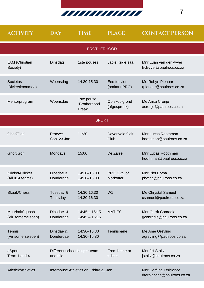

| <b>ACTIVITY</b>                      | <b>DAY</b>                                | <b>TIME</b>                                | <b>PLACE</b>                  | <b>CONTACT PERSON</b>                                  |
|--------------------------------------|-------------------------------------------|--------------------------------------------|-------------------------------|--------------------------------------------------------|
|                                      |                                           | <b>BROTHERHOOD</b>                         |                               |                                                        |
| JAM (Christian<br>Society)           | Dinsdag                                   | 1ste pouses                                | Japie Krige saal              | Mnr Luan van der Vyver<br>lvdvyver@paulroos.co.za      |
| Societas<br>Rivierskoonmaak          | Woensdag                                  | 14:30-15:30                                | Eersterivier<br>(oorkant PRG) | Me Robyn Pienaar<br>rpienaar@paulroos.co.za            |
| Mentorprogram                        | Woensdae                                  | 1ste pouse<br>"Brotherhood<br><b>Break</b> | Op skoolgrond<br>(afgespreek) | Me Anita Cronjé<br>acronje@paulroos.co.za              |
|                                      |                                           | <b>SPORT</b>                               |                               |                                                        |
| Gholf/Golf                           | Proewe<br>Son. 23 Jan                     | 11:30                                      | Devonvale Golf<br>Club        | Mnr Lucas Roothman<br>Iroothman@paulroos.co.za         |
| Gholf/Golf                           | Mondays                                   | 15:00                                      | De Zalze                      | Mnr Lucas Roothman<br>Iroothman@paulroos.co.za         |
| Krieket/Cricket<br>(All u14 teams)   | Dinsdae &<br>Donderdae                    | 14:30-16:00<br>14:30-16:00                 | PRG Oval of<br>Markötter      | Mnr Piet Botha<br>pbotha@paulroos.co.za                |
| Skaak/Chess                          | Tuesday &<br>Thursday                     | 14:30-16:30<br>14:30-16:30                 | W1                            | Me Chrystal Samuel<br>csamuel@paulroos.co.za           |
| Muurbal/Squash<br>(Vir somerseisoen) | Dinsdae &<br>Donderdae                    | $14:45 - 16:15$<br>$14:45 - 16:15$         | <b>MATIES</b>                 | <b>Mnr Gerrit Conradie</b><br>gconradie@paulroos.co.za |
| Tennis<br>(Vir somerseisoen)         | Dinsdae &<br>Donderdae                    | 14:30-15:30<br>14:30-15:30                 | Tennisbane                    | Me Amè Greyling<br>agreyling@paulroos.co.za            |
| eSport<br>Term 1 and 4               | Different schedules per team<br>and title |                                            | From home or<br>school        | Mnr JH Stoltz<br>jstoltz@paulroos.co.za                |
| Atletiek/Athletics                   |                                           | Interhouse Athletics on Friday 21 Jan      |                               | Mnr Dorfling Terblance<br>dterblanche@paulroos.co.za   |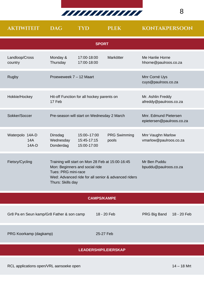

| <b>AKTIWITEIT</b>                                                                                                                                                                                        | <b>DAG</b>                        | <b>TYD</b>                                 | <b>PLEK</b>                           | <b>KONTAKPERSOON</b>                               |
|----------------------------------------------------------------------------------------------------------------------------------------------------------------------------------------------------------|-----------------------------------|--------------------------------------------|---------------------------------------|----------------------------------------------------|
|                                                                                                                                                                                                          |                                   | <b>SPORT</b>                               |                                       |                                                    |
| Landloop/Cross<br>country                                                                                                                                                                                | Monday &<br>Thursday              | 17:00-18:00<br>17:00-18:00                 | Markötter                             | Me Hanlie Horne<br>hhorne@paulroos.co.za           |
| Rugby                                                                                                                                                                                                    | Proeweweek 7 - 12 Maart           |                                            |                                       | Mnr Corné Uys<br>cuys@paulroos.co.za               |
| Hokkie/Hockey                                                                                                                                                                                            | 17 Feb                            | Hit-off Function for all hockey parents on |                                       | Mr. Ashlin Freddy<br>afreddy@paulroos.co.za        |
| Sokker/Soccer                                                                                                                                                                                            |                                   | Pre-season will start on Wednesday 2 March |                                       | Mnr. Edmund Pietersen<br>epietersen@paulroos.co.za |
| Waterpolo 14A-D<br>14A<br>14A-D                                                                                                                                                                          | Dinsdag<br>Wednesday<br>Donderdag | 15:00-17:00<br>15:45-17:15<br>15:00-17:00  | <b>PRG Swimming</b><br>pools          | Mnr Vaughn Marlow<br>vmarlow@paulroos.co.za        |
| Fietsry/Cycling<br>Training will start on Mon 28 Feb at 15:00-16:45<br>Mon: Beginners and social ride<br>Tues: PRG mini-race<br>Wed: Advanced ride for all senior & advanced riders<br>Thurs: Skills day |                                   |                                            | Mr Ben Puddu<br>bpuddu@paulroos.co.za |                                                    |
| <b>CAMPS/KAMPE</b>                                                                                                                                                                                       |                                   |                                            |                                       |                                                    |
| Gr8 Pa en Seun kamp/Gr8 Father & son camp                                                                                                                                                                |                                   |                                            | 18 - 20 Feb                           | PRG Big Band<br>18 - 20 Feb                        |
| PRG Koorkamp (dagkamp)                                                                                                                                                                                   |                                   | 25-27 Feb                                  |                                       |                                                    |
| <b>LEADERSHIP/LEIERSKAP</b>                                                                                                                                                                              |                                   |                                            |                                       |                                                    |

8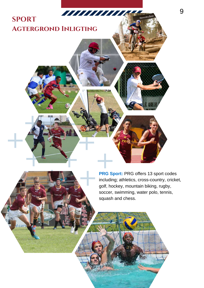#### TITI TITI TITI TE **SPORT Agtergrond Inligting**

**PRG Sport:** PRG offers 13 sport codes including; athletics, cross-country, cricket, golf, hockey, mountain biking, rugby, soccer, swimming, water polo, tennis, squash and chess.

9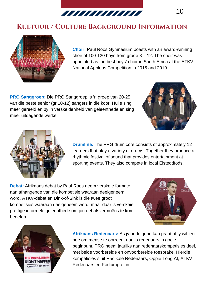

#### **Kultuur / Culture Background Information**



**Choir:** Paul Roos Gymnasium boasts with an award-winning choir of 100-120 boys from grade  $8 - 12$ . The choir was appointed as the best boys' choir in South Africa at the ATKV National Applous Competition in 2015 and 2019.

**PRG Sanggroep:** Die PRG Sanggroep is 'n groep van 20-25 van die beste senior (gr 10-12) sangers in die koor. Hulle sing meer gereeld en by 'n verskeidenheid van geleenthede en sing meer uitdagende werke.





**Drumline:** The PRG drum core consists of approximately 12 learners that play a variety of drums. Together they produce a rhythmic festival of sound that provides entertainment at sporting events. They also compete in local Eisteddfods.

**Debat:** Afrikaans debat by Paul Roos neem verskeie formate aan afhangende van die kompetisie waaraan deelgeneem word. ATKV-debat en Dink-of-Sink is die twee groot kompetisies waaraan deelgeneem word, maar daar is verskeie prettige informele geleenthede om jou debatsvermoëns te kom beoefen.





**Afrikaans Redenaars:** As jy oortuigend kan praat of jy wil leer hoe om mense te oorreed, dan is redenaars 'n goeie beginpunt. PRG neem jaarliks aan redenaarskompetisies deel, met beide voorbereide en onvoorbereide toesprake. Hierdie kompetisies sluit Radikale Redenaars, Oppie Tong Af, ATKV-Redenaars en Podiumpret in.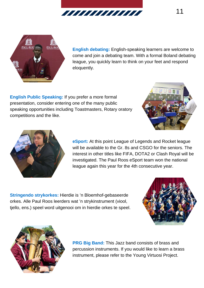



**English debating:** English-speaking learners are welcome to come and join a debating team. With a formal Boland debating league, you quickly learn to think on your feet and respond eloquently.

**English Public Speaking:** If you prefer a more formal presentation, consider entering one of the many public speaking opportunities including Toastmasters, Rotary oratory competitions and the like.





**eSport:** At this point League of Legends and Rocket league will be available to the Gr. 8s and CSGO for the seniors. The interest in other titles like FIFA, DOTA2 or Clash Royal will be investigated. The Paul Roos eSport team won the national league again this year for the 4th consecutive year.

**Stringendo strykorkes:** Hierdie is 'n Bloemhof-gebaseerde orkes. Alle Paul Roos leerders wat 'n strykinstrument (viool, tjello, ens.) speel word uitgenooi om in hierdie orkes te speel.





**PRG Big Band:** This Jazz band consists of brass and percussion instruments. If you would like to learn a brass instrument, please refer to the Young Virtuosi Project.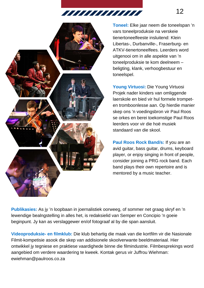7777777777777777777



**Toneel:** Elke jaar neem die toneelspan 'n vars toneelproduksie na verskeie tienertoneelfeeste insluitend: Klein Libertas-, Durbanville-, Fraserburg- en ATKV-tienertoneelfees. Leerders word uitgenooi om in alle aspekte van 'n toneelproduksie te kom deelneem – beligting, klank, verhoogbestuur en toneelspel.

**Young Virtuosi:** Die Young Virtuosi Projek nader kinders van omliggende laerskole en bied vir hul formele trompeten tromboonlesse aan. Op hierdie manier skep ons 'n voedingsbron vir Paul Roos se orkes en berei toekomstige Paul Roos leerders voor vir die hoë musiek standaard van die skool.

**Paul Roos Rock Band/s:** If you are an avid guitar, bass guitar, drums, keyboard player, or enjoy singing in front of people, consider joining a PRG rock band. Each band plays their own repertoire and is mentored by a music teacher.

**Publikasies:** As jy 'n loopbaan in joernalistiek oorweeg, of sommer net graag skryf en 'n lewendige bealngstelling in alles het, is redaksielid van Semper en Concipio 'n goeie beginpunt. Jy kan as verslaggewer en/of fotograaf al by die span aansluit.

**Videoproduksie- en filmklub:** Die klub behartig die maak van die kortfilm vir die Nasionale Filmit-kompetisie asook die skep van addisionele skoolverwante beeldmateriaal. Hier ontwikkel jy tegniese en praktiese vaardighede binne die filmindustrie. Filmbesprekings word aangebied om verdere waardering te kweek. Kontak gerus vir Juffrou Wiehman: ewiehman@paulroos.co.za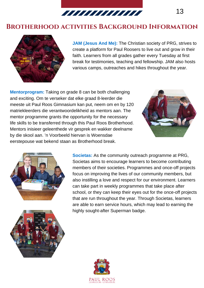

#### **Brotherhood activities Background Information**



**JAM (Jesus And Me):** The Christian society of PRG, strives to create a platform for Paul Roosers to live out and grow in their faith. Learners from all grades gather every Tuesday at first break for testimonies, teaching and fellowship. JAM also hosts various camps, outreaches and hikes throughout the year.

**Mentorprogram:** Taking on grade 8 can be both challenging and exciting. Om te verseker dat elke graad 8-leerder die meeste uit Paul Roos Gimnasium kan put, neem om en by 120 matriekleerders die verantwoordelikheid as mentors aan. The mentor programme grants the opportunity for the necessary life skills to be transferred through this Paul Roos Brotherhood. Mentors inisieer geleenthede vir gesprek en wakker deelname by die skool aan. 'n Voorbeeld hiervan is Woensdae eerstepouse wat bekend staan as Brotherhood break.







**Societas:** As the community outreach programme at PRG, Societas aims to encourage learners to become contributing members of their societies. Programmes and once-off projects focus on improving the lives of our community members, but also instilling a love and respect for our environment. Learners can take part in weekly programmes that take place after school, or they can keep their eyes out for the once-off projects that are run throughout the year. Through Societas, learners are able to earn service hours, which may lead to earning the highly sought-after Superman badge.

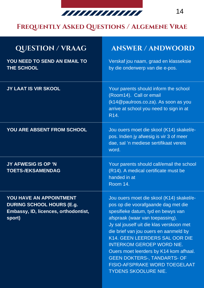

#### **Frequently Asked Questions / Algemene Vrae**

| <b>QUESTION/VRAAG</b>                                                                                                | <b>ANSWER / ANDWOORD</b>                                                                                                                                                                                                                                                                                                                                                                                                                                     |
|----------------------------------------------------------------------------------------------------------------------|--------------------------------------------------------------------------------------------------------------------------------------------------------------------------------------------------------------------------------------------------------------------------------------------------------------------------------------------------------------------------------------------------------------------------------------------------------------|
| YOU NEED TO SEND AN EMAIL TO<br>THE SCHOOL                                                                           | Verskaf jou naam, graad en klasseksie<br>by die onderwerp van die e-pos.                                                                                                                                                                                                                                                                                                                                                                                     |
| <b>JY LAAT IS VIR SKOOL</b>                                                                                          | Your parents should inform the school<br>(Room14). Call or email<br>(k14@paulroos.co.za). As soon as you<br>arrive at school you need to sign in at<br>R <sub>14</sub> .                                                                                                                                                                                                                                                                                     |
| YOU ARE ABSENT FROM SCHOOL                                                                                           | Jou ouers moet die skool (K14) skakel/e-<br>pos. Indien jy afwesig is vir 3 of meer<br>dae, sal 'n mediese sertifikaat vereis<br>word.                                                                                                                                                                                                                                                                                                                       |
| <b>JY AFWESIG IS OP 'N</b><br><b>TOETS-/EKSAMENDAG</b>                                                               | Your parents should call/email the school<br>(R14). A medical certificate must be<br>handed in at<br><b>Room 14.</b>                                                                                                                                                                                                                                                                                                                                         |
| <b>YOU HAVE AN APPOINTMENT</b><br><b>DURING SCHOOL HOURS (E.g.</b><br>Embassy, ID, licences, orthodontist,<br>sport) | Jou ouers moet die skool (K14) skakel/e-<br>pos op die voorafgaande dag met die<br>spesifieke datum, tyd en bewys van<br>afspraak (waar van toepassing).<br>Jy sal jouself uit die klas verskoon met<br>die brief van jou ouers en aanmeld by<br>K14. GEEN LEERDERS SAL OOR DIE<br><b>INTERKOM GEROEP WORD NIE.</b><br>Ouers moet leerders by K14 kom afhaal.<br><b>GEEN DOKTERS-, TANDARTS- OF</b><br>FISIO-AFSPRAKE WORD TOEGELAAT<br>TYDENS SKOOLURE NIE. |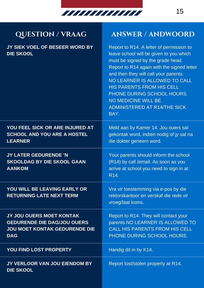

**JY SIEK VOEL OF BESEER WORD BY DIE SKOOL**

#### **QUESTION / VRAAG ANSWER / ANDWOORD**

Report to R14. A letter of permission to leave school will be given to you which must be signed by the grade head. Report to R14 again with the signed letter and then they will call your parents. NO LEARNER IS ALLOWED TO CALL HIS PARENTS FROM HIS CELL PHONE DURING SCHOOL HOURS. NO MEDICINE WILL BE ADMINISTERED AT R14/THE SICK BAY.

| YOU FEEL SICK OR ARE INJURED AT<br><b>SCHOOL AND YOU ARE A HOSTEL</b><br><b>LEARNER</b>                              | Meld aan by Kamer 14. Jou ouers sal<br>gekontak word, indien nodig of jy sal na<br>die dokter geneem word.                                        |
|----------------------------------------------------------------------------------------------------------------------|---------------------------------------------------------------------------------------------------------------------------------------------------|
| JY LATER GEDURENDE 'N<br><b>SKOOLDAG BY DIE SKOOL GAAN</b><br><b>AANKOM</b>                                          | Your parents should inform the school<br>(R14) by call /email. As soon as you<br>arrive at school you need to sign in at<br>R <sub>14</sub> .     |
| YOU WILL BE LEAVING EARLY OR<br><b>RETURNING LATE NEXT TERM</b>                                                      | Vra vir toestemming via e-pos by die<br>rektorskantoor en verskaf die rede vir<br>vroeg/laat koms.                                                |
| JY JOU OUERS MOET KONTAK<br><b>GEDURENDE DIE DAG/JOU OUERS</b><br><b>JOU MOET KONTAK GEDURENDE DIE</b><br><b>DAG</b> | Report to R14. They will contact your<br>parents. NO LEARNER IS ALLOWED TO<br><b>CALL HIS PARENTS FROM HIS CELL</b><br>PHONE DURING SCHOOL HOURS. |
| YOU FIND LOST PROPERTY                                                                                               | Handig dit in by K14.                                                                                                                             |
| JY VERLOOR VAN JOU EIENDOM BY<br><b>DIE SKOOL</b>                                                                    | Report lost/stolen property at R14.                                                                                                               |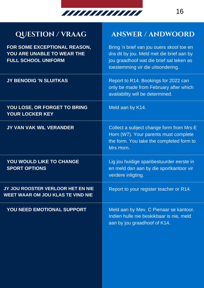

## **QUESTION / VRAAG ANSWER / ANDWOORD**

| FOR SOME EXCEPTIONAL REASON,<br>YOU ARE UNABLE TO WEAR THE<br><b>FULL SCHOOL UNIFORM</b> | Bring 'n brief van jou ouers skool toe en<br>dra dit by jou. Meld met die brief aan by<br>jou graadhoof wat die brief sal teken as<br>toestemming vir die uitsondering. |
|------------------------------------------------------------------------------------------|-------------------------------------------------------------------------------------------------------------------------------------------------------------------------|
| JY BENODIG 'N SLUITKAS                                                                   | Report to R14. Bookings for 2022 can<br>only be made from February after which<br>availability will be determined.                                                      |
| YOU LOSE, OR FORGET TO BRING<br><b>YOUR LOCKER KEY</b>                                   | Meld aan by K14.                                                                                                                                                        |
| JY VAN VAK WIL VERANDER                                                                  | Collect a subject change form from Mrs E<br>Horn (W7). Your parents must complete<br>the form. You take the completed form to<br>Mrs Horn.                              |
| <b>YOU WOULD LIKE TO CHANGE</b><br><b>SPORT OPTIONS</b>                                  | Lig jou huidige spanbestuurder eerste in<br>en meld dan aan by die sportkantoor vir<br>verdere inligting.                                                               |
| JY JOU ROOSTER VERLOOR HET EN NIE<br><b>WEET WAAR OM JOU KLAS TE VIND NIE</b>            | Report to your register teacher or R14.                                                                                                                                 |
| YOU NEED EMOTIONAL SUPPORT                                                               | Meld aan by Mev. C Pienaar se kantoor.<br>Indien hulle nie beskikbaar is nie, meld<br>aan by jou graadhoof of K14.                                                      |